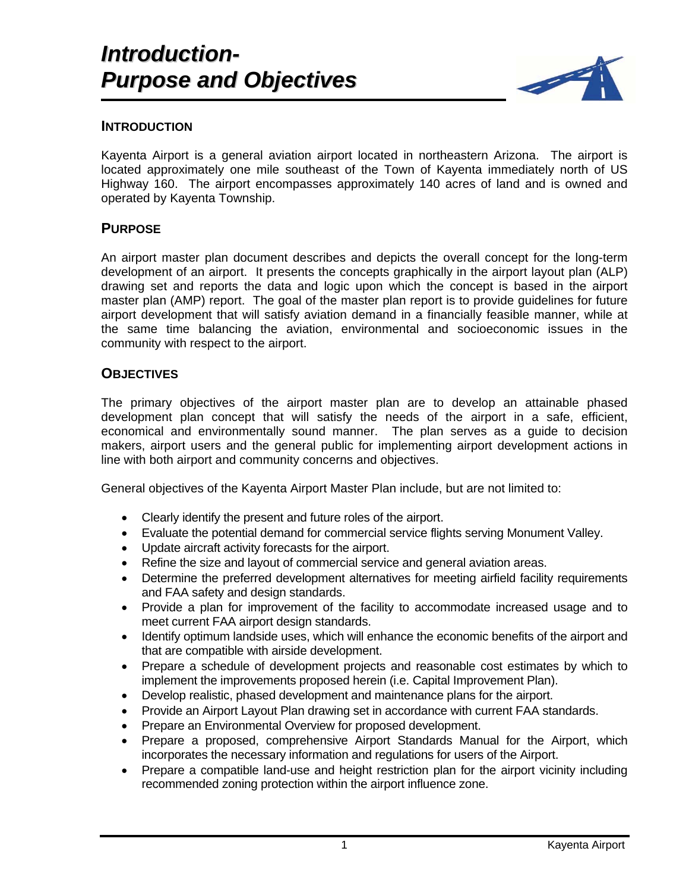

## **INTRODUCTION**

Kayenta Airport is a general aviation airport located in northeastern Arizona. The airport is located approximately one mile southeast of the Town of Kayenta immediately north of US Highway 160. The airport encompasses approximately 140 acres of land and is owned and operated by Kayenta Township.

## **PURPOSE**

An airport master plan document describes and depicts the overall concept for the long-term development of an airport. It presents the concepts graphically in the airport layout plan (ALP) drawing set and reports the data and logic upon which the concept is based in the airport master plan (AMP) report. The goal of the master plan report is to provide guidelines for future airport development that will satisfy aviation demand in a financially feasible manner, while at the same time balancing the aviation, environmental and socioeconomic issues in the community with respect to the airport.

## **OBJECTIVES**

The primary objectives of the airport master plan are to develop an attainable phased development plan concept that will satisfy the needs of the airport in a safe, efficient, economical and environmentally sound manner. The plan serves as a guide to decision makers, airport users and the general public for implementing airport development actions in line with both airport and community concerns and objectives.

General objectives of the Kayenta Airport Master Plan include, but are not limited to:

- Clearly identify the present and future roles of the airport.
- Evaluate the potential demand for commercial service flights serving Monument Valley.
- Update aircraft activity forecasts for the airport.
- Refine the size and layout of commercial service and general aviation areas.
- Determine the preferred development alternatives for meeting airfield facility requirements and FAA safety and design standards.
- Provide a plan for improvement of the facility to accommodate increased usage and to meet current FAA airport design standards.
- Identify optimum landside uses, which will enhance the economic benefits of the airport and that are compatible with airside development.
- Prepare a schedule of development projects and reasonable cost estimates by which to implement the improvements proposed herein (i.e. Capital Improvement Plan).
- Develop realistic, phased development and maintenance plans for the airport.
- Provide an Airport Layout Plan drawing set in accordance with current FAA standards.
- Prepare an Environmental Overview for proposed development.
- Prepare a proposed, comprehensive Airport Standards Manual for the Airport, which incorporates the necessary information and regulations for users of the Airport.
- Prepare a compatible land-use and height restriction plan for the airport vicinity including recommended zoning protection within the airport influence zone.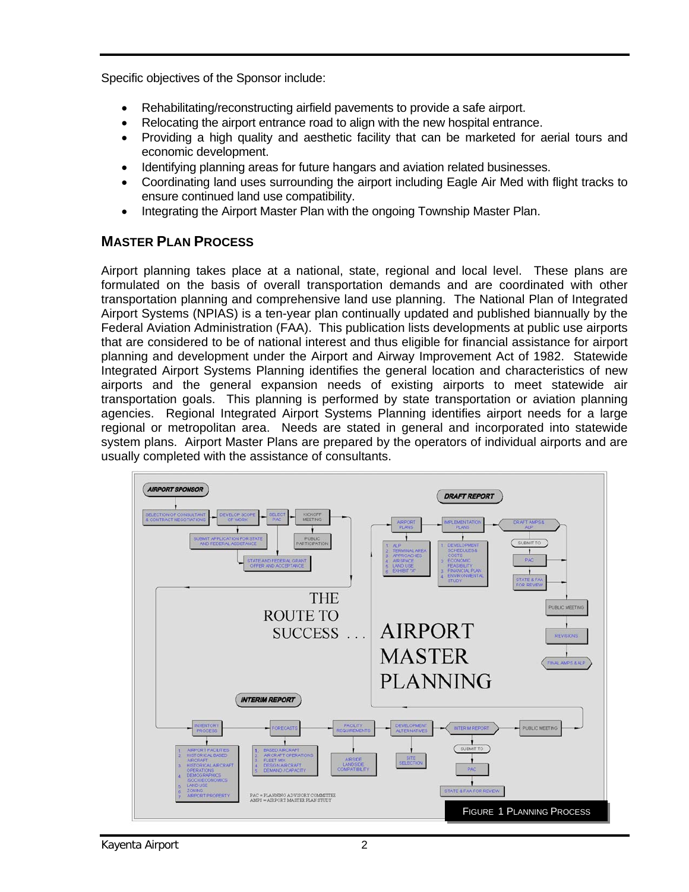Specific objectives of the Sponsor include:

- Rehabilitating/reconstructing airfield pavements to provide a safe airport.
- Relocating the airport entrance road to align with the new hospital entrance.
- Providing a high quality and aesthetic facility that can be marketed for aerial tours and economic development.
- Identifying planning areas for future hangars and aviation related businesses.
- Coordinating land uses surrounding the airport including Eagle Air Med with flight tracks to ensure continued land use compatibility.
- Integrating the Airport Master Plan with the ongoing Township Master Plan.

## **MASTER PLAN PROCESS**

Airport planning takes place at a national, state, regional and local level. These plans are formulated on the basis of overall transportation demands and are coordinated with other transportation planning and comprehensive land use planning. The National Plan of Integrated Airport Systems (NPIAS) is a ten-year plan continually updated and published biannually by the Federal Aviation Administration (FAA). This publication lists developments at public use airports that are considered to be of national interest and thus eligible for financial assistance for airport planning and development under the Airport and Airway Improvement Act of 1982. Statewide Integrated Airport Systems Planning identifies the general location and characteristics of new airports and the general expansion needs of existing airports to meet statewide air transportation goals. This planning is performed by state transportation or aviation planning agencies. Regional Integrated Airport Systems Planning identifies airport needs for a large regional or metropolitan area. Needs are stated in general and incorporated into statewide system plans. Airport Master Plans are prepared by the operators of individual airports and are usually completed with the assistance of consultants.